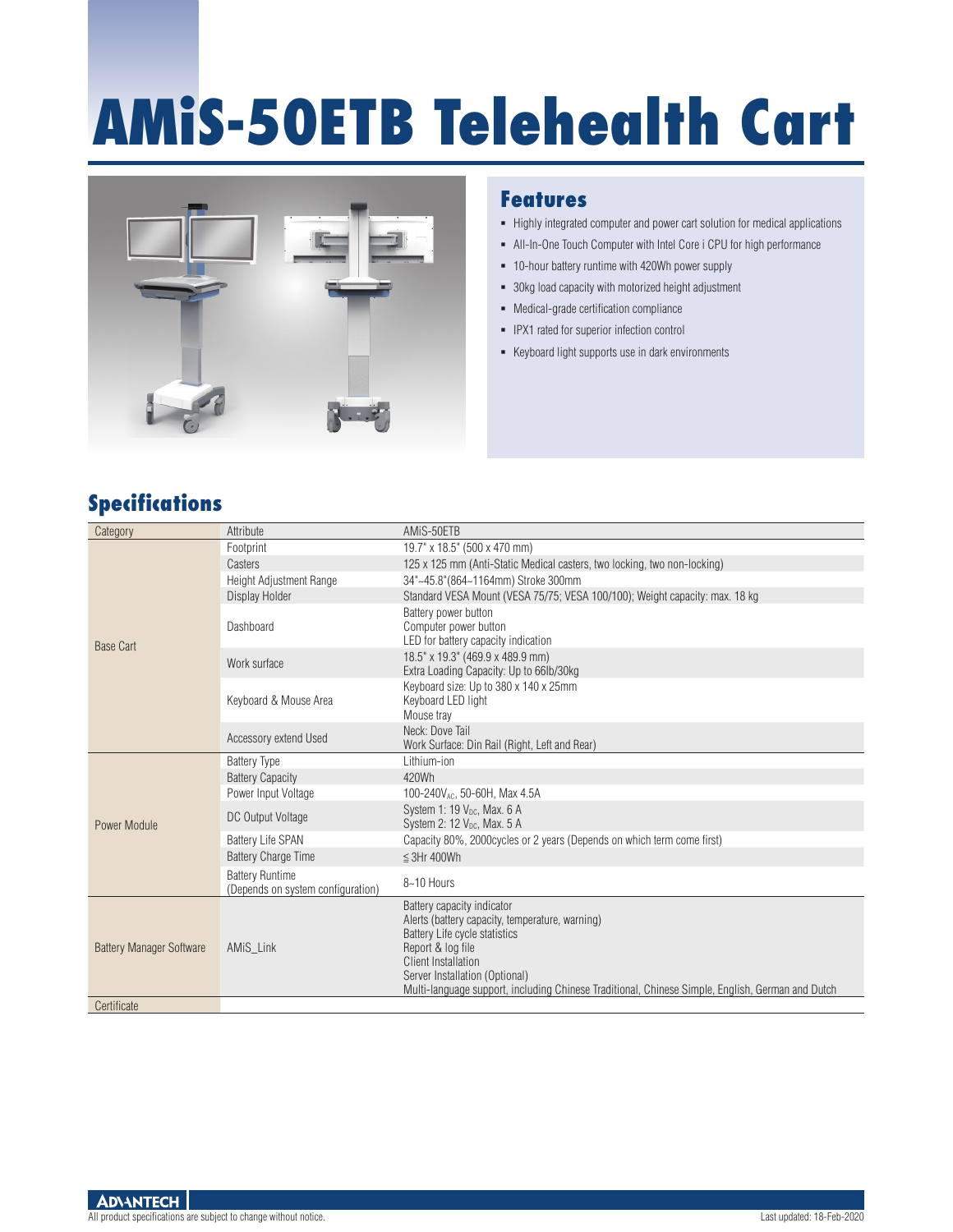# **AMiS-50ETB Telehealth Cart**



### **Features**

- Highly integrated computer and power cart solution for medical applications
- All-In-One Touch Computer with Intel Core i CPU for high performance
- 10-hour battery runtime with 420Wh power supply
- 30kg load capacity with motorized height adjustment
- Medical-grade certification compliance
- **-** IPX1 rated for superior infection control
- Keyboard light supports use in dark environments

## **Specifications**

| Category                        | Attribute                                                   | AMIS-50ETB                                                                                                                                                                                                                                                                                              |
|---------------------------------|-------------------------------------------------------------|---------------------------------------------------------------------------------------------------------------------------------------------------------------------------------------------------------------------------------------------------------------------------------------------------------|
| <b>Base Cart</b>                | Footprint                                                   | 19.7" x 18.5" (500 x 470 mm)                                                                                                                                                                                                                                                                            |
|                                 | Casters                                                     | 125 x 125 mm (Anti-Static Medical casters, two locking, two non-locking)                                                                                                                                                                                                                                |
|                                 | Height Adjustment Range                                     | 34"~45.8"(864~1164mm) Stroke 300mm                                                                                                                                                                                                                                                                      |
|                                 | Display Holder                                              | Standard VESA Mount (VESA 75/75; VESA 100/100); Weight capacity: max. 18 kg                                                                                                                                                                                                                             |
|                                 | Dashboard                                                   | Battery power button<br>Computer power button<br>LED for battery capacity indication                                                                                                                                                                                                                    |
|                                 | Work surface                                                | 18.5" x 19.3" (469.9 x 489.9 mm)<br>Extra Loading Capacity: Up to 66lb/30kg                                                                                                                                                                                                                             |
|                                 | Keyboard & Mouse Area                                       | Keyboard size: Up to 380 x 140 x 25mm<br>Keyboard LED light<br>Mouse tray                                                                                                                                                                                                                               |
|                                 | Accessory extend Used                                       | Neck: Dove Tail<br>Work Surface: Din Rail (Right, Left and Rear)                                                                                                                                                                                                                                        |
|                                 | <b>Battery Type</b>                                         | Lithium-ion                                                                                                                                                                                                                                                                                             |
|                                 | <b>Battery Capacity</b>                                     | 420Wh                                                                                                                                                                                                                                                                                                   |
|                                 | Power Input Voltage                                         | 100-240V <sub>AC</sub> , 50-60H, Max 4.5A                                                                                                                                                                                                                                                               |
| Power Module                    | DC Output Voltage                                           | System 1: 19 $V_{\text{DC}}$ , Max. 6 A<br>System 2: $12 V_{DC}$ , Max. $5 A$                                                                                                                                                                                                                           |
|                                 | <b>Battery Life SPAN</b>                                    | Capacity 80%, 2000 cycles or 2 years (Depends on which term come first)                                                                                                                                                                                                                                 |
|                                 | <b>Battery Charge Time</b>                                  | $\leq$ 3Hr 400Wh                                                                                                                                                                                                                                                                                        |
|                                 | <b>Battery Runtime</b><br>(Depends on system configuration) | 8~10 Hours                                                                                                                                                                                                                                                                                              |
| <b>Battery Manager Software</b> | AMIS Link                                                   | Battery capacity indicator<br>Alerts (battery capacity, temperature, warning)<br>Battery Life cycle statistics<br>Report & log file<br><b>Client Installation</b><br>Server Installation (Optional)<br>Multi-language support, including Chinese Traditional, Chinese Simple, English, German and Dutch |
| Certificate                     |                                                             |                                                                                                                                                                                                                                                                                                         |